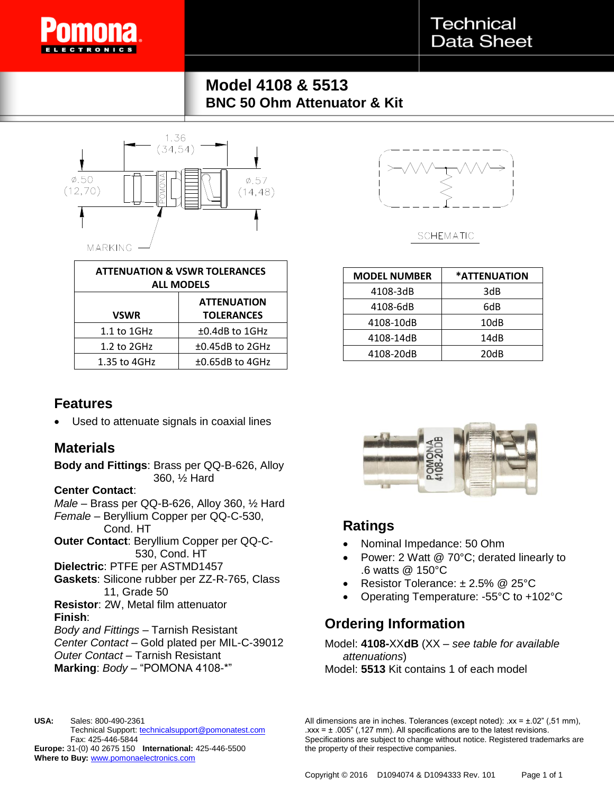

**Technical Data Sheet** 

# **Model 4108 & 5513 BNC 50 Ohm Attenuator & Kit**



| <b>ATTENUATION &amp; VSWR TOLERANCES</b><br><b>ALL MODELS</b> |                                         |
|---------------------------------------------------------------|-----------------------------------------|
| <b>VSWR</b>                                                   | <b>ATTENUATION</b><br><b>TOLERANCES</b> |
| $1.1$ to $1$ GHz                                              | $±0.4dB$ to 1GHz                        |
| $1.2$ to $2GHz$                                               | $±0.45dB$ to 2GHz                       |
| 1.35 to 4GHz                                                  | $±0.65dB$ to 4GHz                       |

## **Features**

Used to attenuate signals in coaxial lines

### **Materials**

**Body and Fittings**: Brass per QQ-B-626, Alloy 360, ½ Hard

#### **Center Contact**:

*Male* – Brass per QQ-B-626, Alloy 360, ½ Hard *Female* – Beryllium Copper per QQ-C-530, Cond. HT

**Outer Contact**: Beryllium Copper per QQ-C-530, Cond. HT

**Dielectric**: PTFE per ASTMD1457

**Gaskets**: Silicone rubber per ZZ-R-765, Class 11, Grade 50

**Resistor**: 2W, Metal film attenuator **Finish**:

*Body and Fittings* – Tarnish Resistant *Center Contact* – Gold plated per MIL-C-39012 *Outer Contact* – Tarnish Resistant **Marking**: *Body* – "POMONA 4108-\*"



**SCHEMATIC** 

| <b>MODEL NUMBER</b> | *ATTENUATION |
|---------------------|--------------|
| 4108-3dB            | 3dB          |
| 4108-6dB            | 6dB          |
| 4108-10dB           | 10dB         |
| 4108-14dB           | 14dB         |
| 4108-20dB           | 20dB         |



## **Ratings**

- Nominal Impedance: 50 Ohm
- Power: 2 Watt @ 70°C; derated linearly to .6 watts @ 150°C
- Resistor Tolerance: ± 2.5% @ 25°C
- Operating Temperature: -55°C to +102°C

## **Ordering Information**

Model: **4108-**XX**dB** (XX – *see table for available attenuations*) Model: **5513** Kit contains 1 of each model

**USA:** Sales: 800-490-2361 Technical Support: technicalsupport@pomonatest.com Fax: 425-446-5844 **Europe:** 31-(0) 40 2675 150 **International:** 425-446-5500 **Where to Buy:** www.pomonaelectronics.com

All dimensions are in inches. Tolerances (except noted):  $xx = \pm .02$ " (,51 mm),  $\text{.xxx} = \pm 0.005$ " (,127 mm). All specifications are to the latest revisions. Specifications are subject to change without notice. Registered trademarks are the property of their respective companies.